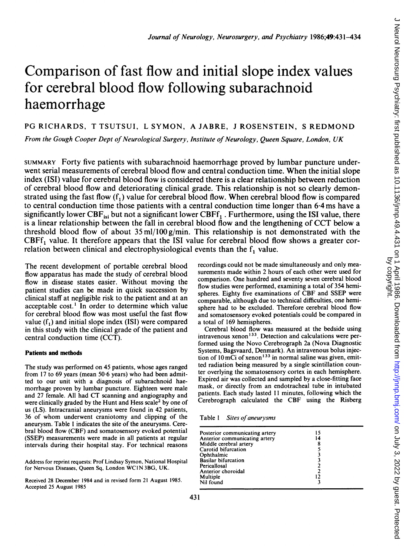# Comparison of fast flow and initial slope index values for cerebral blood flow following subarachnoid haemorrhage

PG RICHARDS, T TSUTSUI, <sup>L</sup> SYMON, A JABRE, <sup>J</sup> ROSENSTEIN, <sup>S</sup> REDMOND

From the Gough Cooper Dept of Neurological Surgery, Institute of Neurology, Queen Square, London, UK

SUMMARY Forty five patients with subarachnoid haemorrhage proved by lumbar puncture underwent serial measurements of cerebral blood flow and central conduction time. When the initial slope index (ISI) value for cerebral blood flow is considered there is a clear relationship between reduction of cerebral blood flow and deteriorating clinical grade. This relationship is not so clearly demonstrated using the fast flow  $(f_1)$  value for cerebral blood flow. When cerebral blood flow is compared to central conduction time those patients with a central conduction time longer than 6-4 ms have a significantly lower  $CBF_{\text{isi}}$  but not a significant lower  $CBF_{1}$ . Furthermore, using the ISI value, there is <sup>a</sup> linear relationship between the fall in cerebral blood flow and the lengthening of CCT below <sup>a</sup> threshold blood flow of about  $35 \text{ ml}/100 \text{ g/min}$ . This relationship is not demonstrated with the  $CBFF_1$  value. It therefore appears that the ISI value for cerebral blood flow shows a greater correlation between clinical and electrophysiological events than the  $f_1$  value.

The recent development of portable cerebral blood flow apparatus has made the study of cerebral blood flow in disease states easier. Without moving the patient studies can be made in quick succession by clinical staff at negligible risk to the patient and at an acceptable cost.' In order to determine which value for cerebral blood flow was most useful the fast flow value  $(f_1)$  and initial slope index  $(ISI)$  were compared in this study with the clinical grade of the patient and central conduction time (CCT).

#### Patients and methods

The study was performed on 45 patients, whose ages ranged from <sup>17</sup> to 69 years (mean 50 6 years) who had been admitted to our unit with a diagnosis of subarachnoid haemorrhage proven by lumbar puncture. Eighteen were male and <sup>27</sup> female. All had CT scanning and angiography and were clinically graded by the Hunt and Hess scale<sup>2</sup> by one of us (LS). Intracranial aneurysms were found in 42 patients, 36 of whom underwent craniotomy and clipping of the aneurysm. Table <sup>I</sup> indicates the site of the aneurysms. Cerebral blood flow (CBF) and somatosensory evoked potential (SSEP) measurements were made in all patients at regular intervals during their hospital stay. For technical reasons

Address for reprint requests: Prof Lindsay Symon, National Hospital for Nervous Diseases, Queen Sq, London WC1N 3BG, UK.

Received 28 December 1984 and in revised form 21 August 1985. Accepted 25 August 1985

recordings could not be made simultaneously and only measurements made within 2 hours of each other were used for comparison. One hundred and seventy seven cerebral blood flow studies were performed, examining a total of 354 hemispheres. Eighty five examinations of CBF and SSEP were comparable, although due to technical difficulties, one hemisphere had to be excluded. Therefore cerebral blood flow and somatosensory evoked potentials could be compared in a total of 169 hemispheres.

Cerebral blood flow was measured at the bedside using intravenous xenon'33. Detection and calculations were performed using the Novo Cerebrograph 2a (Nova Diagnostic Systems, Bagsvaard, Denmark). An intravenous bolus injection of  $10 \text{ mC}$ i of xenon<sup>133</sup> in normal saline was given, emitted radiation being measured by a single scintillation counter overlying the somatosensory cortex in each hemisphere. Expired air was collected and sampled by a close-fitting face mask, or directly from an endotracheal tube in intubated patients. Each study lasted <sup>11</sup> minutes, following which the Cerebrograph calculated the CBF using the Risberg

Table 1 Sites of aneurysms

| Posterior communicating artery | 15 |
|--------------------------------|----|
| Anterior communicating artery  | 14 |
| Middle cerebral artery         | 8  |
| Carotid bifurcation            |    |
| Ophthalmic                     |    |
| <b>Basilar bifurcation</b>     |    |
| Pericallosal                   |    |
| Anterior choroidal             |    |
| Multiple                       |    |
| Nil found                      |    |
|                                |    |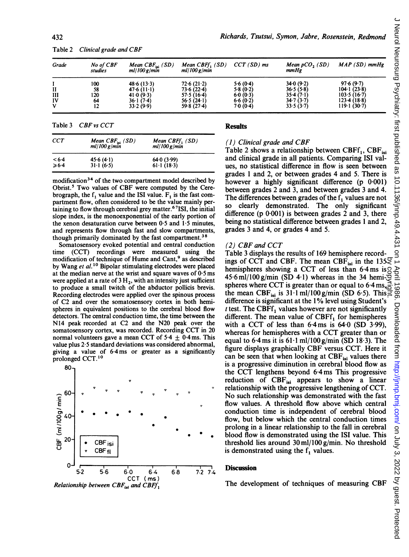| Grade | No of CBF<br>studies | Mean $CBF_{isi}$ (SD)<br>$ml/100$ g/min | Mean $CBFf_1(SD)$<br>ml/100 g/min | $CCT(SD)$ ms | Mean $pCO$ , $(SD)$<br>mmHg | $MAP(SD)$ mmHg            |
|-------|----------------------|-----------------------------------------|-----------------------------------|--------------|-----------------------------|---------------------------|
|       | 100                  | 48.6(13.3)                              | 72.6(21.2)                        | 5.6(0.4)     | 34.0(9.2)                   | 97.6(9.7)                 |
| H     | 58                   | 47.6(11.1)                              | 73.6(22.4)                        | 5.8(0.2)     | 36.5(5.8)                   | $104 \cdot 1(23 \cdot 8)$ |
| ш     | 120                  | 41.0(9.3)                               | 57.5(16.4)                        | 6.0(0.3)     | 35.4(7.1)                   | 103.5(16.7)               |
| IV    | 64                   | 36.1(7.4)                               | 56.5 $(24.1)$                     | 6.6(0.2)     | 34.7(3.7)                   | 123.4(18.8)               |
| v     | 12                   | 33.2(9.9)                               | 59.8(27.4)                        | 7.0(0.4)     | 33.5(3.7)                   | 119.1(30.7)               |

Table <sup>2</sup> Clinical grade and CBF

Table 3 CBF vs CCT

| <b>CCT</b>      | Mean CBF <sub>isi</sub> (SD)<br>ml/100 g/min | Mean CBFf <sub>1</sub> (SD)<br>ml/100 g/min |  |  |
|-----------------|----------------------------------------------|---------------------------------------------|--|--|
| < 6.4           | 45.6(4.1)                                    | 64.0(3.99)                                  |  |  |
| $\geqslant 6.4$ | $31 \cdot 1 (6.5)$                           | $61 \cdot 1 (18 \cdot 3)$                   |  |  |

modification<sup>34</sup> of the two compartment model described by Obrist.<sup>5</sup> Two values of CBF were computed by the Cerebrograph, the  $f_1$  value and the ISI value.  $F_1$  is the fast compartment flow, often considered to be the value n nainly per taining to flow through cerebral grey matter.<sup>6</sup> TSI, the initial slope index, is the monoexponential of the early portion of the xenon desaturation curve between  $0.5$  and  $1.5$  minutes, and represents flow through fast and slow com partments, though primarily dominated by the fast compartment.<sup>36</sup>

Somatosensory evoked potential and central conduction time (CCT) recordings were measured using the modification of technique of Hume and Cant,<sup>9</sup> as described by Wang et al.<sup>10</sup> Bipolar stimulating electrodes were placed at the median nerve at the wrist and square waves of  $0.5 \text{ ms}$ were applied at a rate of  $3 H_2$ , with an intensity just sufficient to produce a small twitch of the abductor polli Recording electrodes were applied over the spinous process of C2 and over the somatosensory cortex in b spheres in equivalent positions to the cerebral blood flow detectors. The central conduction time, the time between the N14 peak recorded at C2 and the N20 peak over the somatosensory cortex, was recorded. Recording CCT in 20 normal volunteers gave a mean CCT of  $5.4 \pm 0.4$  ms. This value plus 2.5 standard deviations was considered abnormal, giving a value of 6.4 ms or greater as a significantly prolonged CCT.<sup>10</sup>



#### **Results**

#### (1) Clinical grade and CBF

Table 2 shows a relationship between CBFf<sub>1</sub>, CBF<sub>isi</sub> and clinical grade in all patients. Comparing ISI values, no statistical difference in flow is seen between grades <sup>I</sup> and 2, or between grades 4 and 5. There is however a highly significant difference (p 0.001) between grades 2 and 3, and between grades 3 and 4. The differences between grades of the  $f_1$  values are not so clearly demonstrated. The only significant difference (p  $0.001$ ) is between grades 2 and 3, there being no statistical difference between grades <sup>1</sup> and 2, grades 3 and 4, or grades 4 and 5.

### $(2)$  CBF and CCT

Table 3 displays the results of 169 hemisphere recordings of CCT and CBF. The mean CBF<sub>isi</sub> in the 135 $\overline{Q}$  hemispheres showing a CCT of less than 6.4ms is  $\overline{Q}$  $45.6$  ml/l00 g/min (SD 4.1) whereas in the 34 hemi- $\overline{5}$ spheres where CCT is greater than or equal to 6.4 ms,  $\frac{1}{6}$ the mean CBF<sub>isi</sub> is 31 1 ml/100 g/min (SD 6.5). This difference is significant at the 1% level using Student's  $t$  test. The CBFf<sub>1</sub> values however are not significantly different. The mean value of CBFf, for hemispheres with a CCT of less than  $6.4 \text{ ms}$  is  $64.0 \text{ (SD } 3.99)$ , whereas for hemispheres with a CCT greater than or equal to 6.4 ms it is  $61.1$  ml/l00 g/min (SD 18.3). The figure displays graphically CBF versus CCT. Here it can be seen that when looking at  $CBF_{isi}$  values there is a progressive diminution in cerebral blood flow as the CCT lengthens beyond 6-4ms This progressive reduction of  $CBF_{11}$  appears to show a linear relationship with the progressive lengthening of CCT. No such relationship was demonstrated with the fast flow values. A threshold flow above which central conduction time is independent of cerebral blood flow, but below which the central conduction times prolong in a linear relationship to the fall in cerebral blood flow is demonstrated using the ISI value. This threshold lies around <sup>30</sup> ml/l00 g/min. No threshold is demonstrated using the  $f_1$  values.

## $\overline{7.2}$  7.4 Discussion

The development of techniques of measuring CBF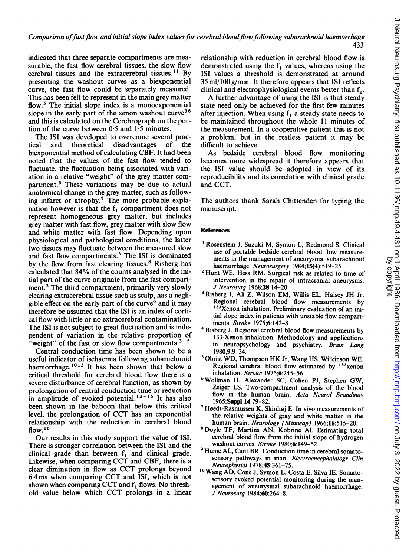433

indicated that three separate compartments are measurable, the fast flow cerebral tissues, the slow flow cerebral tissues and the extracerebral tissues.'" By presenting the washout curves as a biexponential curve, the fast flow could be separately measured. This has been felt to represent in the main grey matter flow.<sup>5</sup> The initial slope index is a monoexponential slope in the early part of the xenon washout curve<sup>38</sup> and this is calculated on the Cerebrograph on the portion of the curve between  $0.5$  and  $1.5$  minutes.

The ISI was developed to overcome several practical and theoretical disadvantages of the biexponential method of calculating CBF. It had been noted that the values of the fast flow tended to fluctuate, the fluctuation being associated with variation in a relative "weight" of the grey matter compartment.3 These variations may be due to actual anatomical change in the grey matter, such as following infarct or atrophy.<sup>7</sup> The more probable explanation however is that the  $f_1$  compartment does not represent homogeneous grey matter, but includes grey matter with fast flow, grey matter with slow flow and white matter with fast flow. Depending upon physiological and pathological conditions, the latter two tissues may fluctuate between the measured slow and fast flow compartments.3 The ISI is dominated by the flow from fast clearing tissues.<sup>8</sup> Risberg has calculated that 84% of the counts analysed in the initial part of the curve originate from the fast compartment.3 The third compartment, primarily very slowly clearing extracerebral tissue such as scalp, has a negligible effect on the early part of the curve $<sup>6</sup>$  and it may</sup> therefore be assumed that the ISI is an index of cortical flow with little or no extracerebral contamination. The ISI is not subject to great fluctuation and is independent of variation in the relative proportion of "weight" of the fast or slow flow compartments. $3-5$ 

Central conduction time has been shown to be a useful indicator of ischaemia following subarachnoid haemorrhage.<sup>1012</sup> It has been shown that below a critical threshold for cerebral blood flow there is a severe disturbance of cerebral function, as shown by prolongation of central conduction time or reduction in amplitude of evoked potential.<sup>13-15</sup> It has also been shown in the baboon that below this critical level, the prolongation of CCT has an exponential relationship with the reduction in cerebral blood flow.<sup>16</sup>

Our results in this study support the value of ISI. There is stronger correlation between the ISI and the clinical grade than between  $f_1$  and clinical grade. Likewise, when comparing CCT and CBF, there is <sup>a</sup> clear diminution in flow as CCT prolongs beyond 6-4ms when comparing CCT and ISI, which is not shown when comparing CCT and f, flows. No threshold value below which CCT prolongs in <sup>a</sup> linear relationship with reduction in cerebral blood flow is demonstrated using the f, values, whereas using the ISI values a threshold is demonstrated at around 35 ml/l00 g/min. It therefore appears that ISI reflects clinical and electrophysiological events better than  $f_1$ .

A further advantage of using the ISI is that steady state need only be achieved for the first few minutes after injection. When using  $f_1$  a steady state needs to be maintained throughout the whole <sup>11</sup> minutes of the measurement. In a cooperative patient this is not a problem, but in the restless patient it may be difficult to achieve.

As bedside cerebral blood flow monitoring becomes more widespread it therefore appears that the ISI value should be adopted in view of its reproducibility and its correlation with clinical grade and CCT.

The authors thank Sarah Chittenden for typing the manuscript.

#### References

- 'Rosenstein J, Suzuki M, Symon. L, Redmond S. Clinical use of portable bedside cerebral blood flow measurements in the management of aneurysmal subarachnoid haemorrhage. Neurosurgery 1984;15(4):519-25.
- <sup>2</sup> Hunt WE, Hess RM. Surgical risk as related to time of intervention in the repair of intracranial aneurysms. J Neurosurg 1968;28: 14-20.
- <sup>3</sup> Risberg J, Ali Z, Wilson EM, Willis EL, Halsey JH Jr. Regional cerebral blood flow measurements by <sup>133</sup>Xenon inhalation. Preliminary evaluation of an initial slope index in patients with unstable flow compartments. Stroke 1975;6:142-8.
- 4Risberg J. Regional cerebral blood flow measurements by 133-Xenon inhalation: Methodology and applications in neuropsychology and psychiatry. Brain Lang 1980;9:9-34.
- 5Obrist WD, Thompson HK Jr, Wang HS, Wilkinson WE. Regional cerebral blood flow estimated by  $133$ xenon inhalation. Stroke 1975;6:245-56.
- 6Wollman H, Alexander SC, Cohen PJ, Stephen GW, Zeiger LS. Two-compartment analysis of the blood flow in the human brain. Acta Neurol Scandinav 1965;Suppl 14:79-82.
- <sup>7</sup> Høedt-Rasmussen K, Skinhøj E. In vivo measurements of the relative weights of gray and white matter in the human brain. Neurology (Minneap) 1966;16:515-20.
- <sup>8</sup> Doyle TF, Martins AN, Kobrine AI. Estimating total cerebral blood flow from the initial slope of hydrogen washout curves. Stroke 1980;6:149-52.
- <sup>9</sup> Hume AL, Cant BR. Conduction time in cerebral somatosensory pathways in man. Electroencephalalogr Clin Neurophysiol 1978;45:361-75.
- <sup>10</sup> Wang AD, Cone J, Symon L, Costa E, Silva IE. Somatosensory evoked potential monitoring during the management of aneurysmal subarachnoid haemorrhage. J Neurosurg 1984;60:264-8.